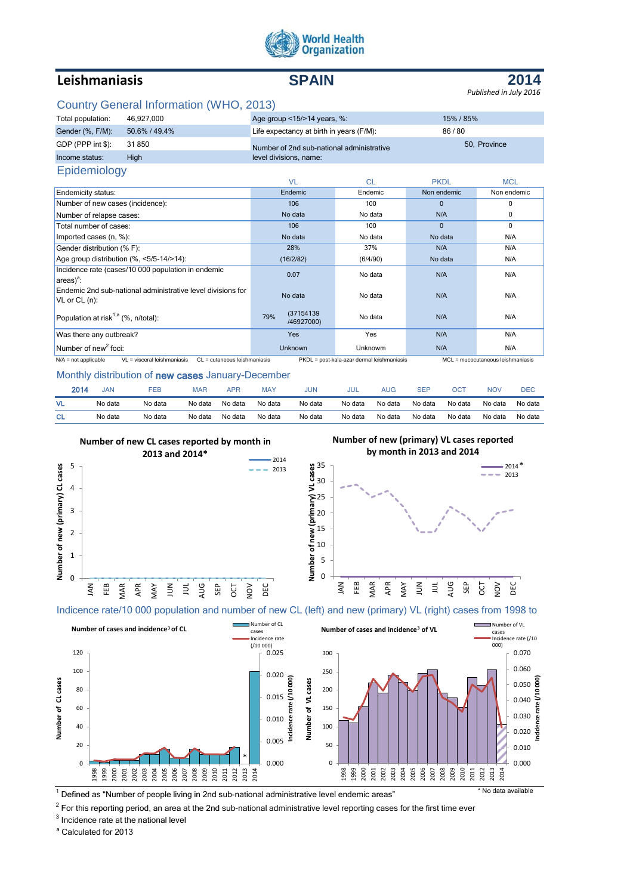

# **Leishmaniasis SPAIN**

**2014**

#### *Published in July 2016*

# Country General Information (WHO, 2013)

| Total population: | 46.927.000    | Age group <15/>>14 years, %:              | 15% / 85%    |  |
|-------------------|---------------|-------------------------------------------|--------------|--|
| Gender (%, F/M):  | 50.6% / 49.4% | Life expectancy at birth in years (F/M):  | 86/80        |  |
| GDP (PPP int \$): | 31850         | Number of 2nd sub-national administrative | 50, Province |  |
| Income status:    | Hiah          | level divisions, name:                    |              |  |
| Epidemiology      |               |                                           |              |  |

|                                                                                       | <b>VL</b>                       | <b>CL</b>                                  | <b>PKDL</b> | <b>MCL</b>                        |
|---------------------------------------------------------------------------------------|---------------------------------|--------------------------------------------|-------------|-----------------------------------|
| Endemicity status:                                                                    | Endemic                         | Endemic                                    | Non endemic | Non endemic                       |
| Number of new cases (incidence):                                                      | 106                             | 100                                        | $\Omega$    | 0                                 |
| Number of relapse cases:                                                              | No data                         | No data                                    | N/A         | 0                                 |
| Total number of cases:                                                                | 106                             | 100                                        | $\Omega$    | $\Omega$                          |
| Imported cases (n, %):                                                                | No data                         | No data                                    | No data     | N/A                               |
| Gender distribution (% F):                                                            | 28%                             | 37%                                        | N/A         | N/A                               |
| Age group distribution (%, <5/5-14/>14):                                              | (16/2/82)                       | (6/4/90)                                   | No data     | N/A                               |
| Incidence rate (cases/10 000 population in endemic<br>$ areaa$ :                      | 0.07                            | No data                                    | N/A         | N/A                               |
| Endemic 2nd sub-national administrative level divisions for<br>VL or CL (n):          | No data                         | No data                                    | N/A         | N/A                               |
| Population at risk <sup>1,a</sup> (%, n/total):                                       | (37154139)<br>79%<br>/46927000) | No data                                    | N/A         | N/A                               |
| Was there any outbreak?                                                               | <b>Yes</b>                      | Yes                                        | N/A         | N/A                               |
| Number of new <sup>2</sup> foci:                                                      | <b>Unknown</b>                  | Unknowm                                    | N/A         | N/A                               |
| $N/A$ = not applicable<br>VL = visceral leishmaniasis<br>CL = cutaneous leishmaniasis |                                 | PKDL = post-kala-azar dermal leishmaniasis |             | MCL = mucocutaneous leishmaniasis |

#### Monthly distribution of new cases January-December

| 2014 | JAN     | ™EB     | MAR     | APP     | <b>MAY</b> | JUN     | JUL     | AUG     | SEI     | OCT     | NO۱     | DEC     |
|------|---------|---------|---------|---------|------------|---------|---------|---------|---------|---------|---------|---------|
|      | No data | No data | No data | No data | No data    | No data | No data | No data | No data | No data | No data | No data |
| СL   | No data | No data | No data | No data | No data    | No data | No data | No data | No data | No data | No data | No data |



Indicence rate/10 000 population and number of new CL (left) and new (primary) VL (right) cases from 1998 to



<sup>1</sup> Defined as "Number of people living in 2nd sub-national administrative level endemic areas" \* No data available

 $^2$  For this reporting period, an area at the 2nd sub-national administrative level reporting cases for the first time ever

 $3$  Incidence rate at the national level

<sup>a</sup> Calculated for 2013